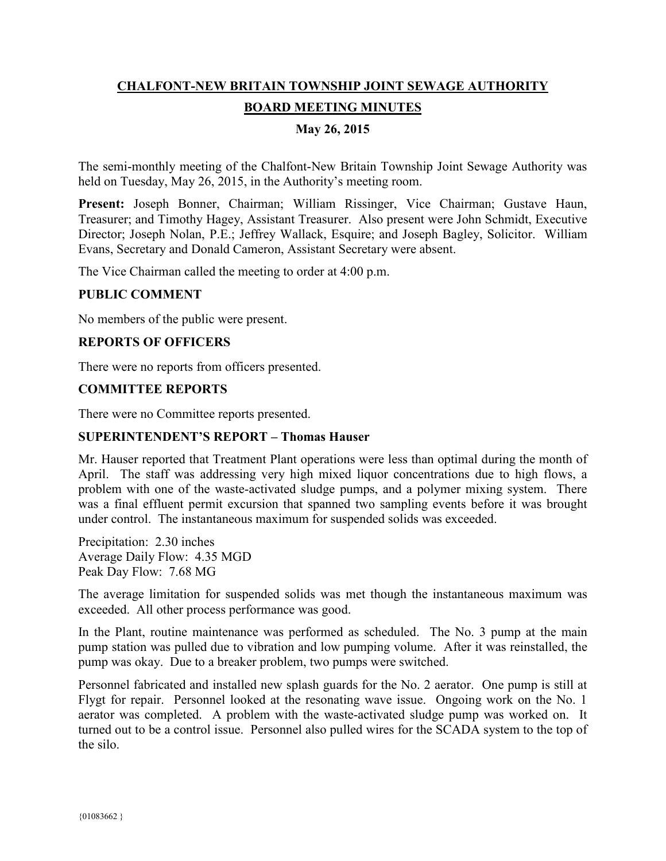# **CHALFONT-NEW BRITAIN TOWNSHIP JOINT SEWAGE AUTHORITY BOARD MEETING MINUTES**

# **May 26, 2015**

The semi-monthly meeting of the Chalfont-New Britain Township Joint Sewage Authority was held on Tuesday, May 26, 2015, in the Authority's meeting room.

**Present:** Joseph Bonner, Chairman; William Rissinger, Vice Chairman; Gustave Haun, Treasurer; and Timothy Hagey, Assistant Treasurer. Also present were John Schmidt, Executive Director; Joseph Nolan, P.E.; Jeffrey Wallack, Esquire; and Joseph Bagley, Solicitor. William Evans, Secretary and Donald Cameron, Assistant Secretary were absent.

The Vice Chairman called the meeting to order at 4:00 p.m.

#### **PUBLIC COMMENT**

No members of the public were present.

### **REPORTS OF OFFICERS**

There were no reports from officers presented.

#### **COMMITTEE REPORTS**

There were no Committee reports presented.

### **SUPERINTENDENT'S REPORT – Thomas Hauser**

Mr. Hauser reported that Treatment Plant operations were less than optimal during the month of April. The staff was addressing very high mixed liquor concentrations due to high flows, a problem with one of the waste-activated sludge pumps, and a polymer mixing system. There was a final effluent permit excursion that spanned two sampling events before it was brought under control. The instantaneous maximum for suspended solids was exceeded.

Precipitation: 2.30 inches Average Daily Flow: 4.35 MGD Peak Day Flow: 7.68 MG

The average limitation for suspended solids was met though the instantaneous maximum was exceeded. All other process performance was good.

In the Plant, routine maintenance was performed as scheduled. The No. 3 pump at the main pump station was pulled due to vibration and low pumping volume. After it was reinstalled, the pump was okay. Due to a breaker problem, two pumps were switched.

Personnel fabricated and installed new splash guards for the No. 2 aerator. One pump is still at Flygt for repair. Personnel looked at the resonating wave issue. Ongoing work on the No. 1 aerator was completed. A problem with the waste-activated sludge pump was worked on. It turned out to be a control issue. Personnel also pulled wires for the SCADA system to the top of the silo.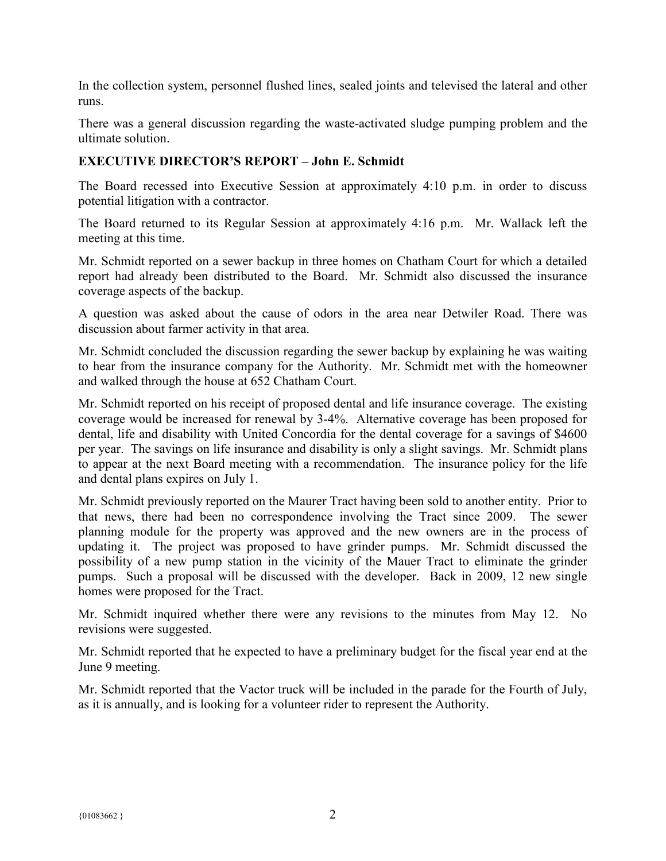In the collection system, personnel flushed lines, sealed joints and televised the lateral and other runs.

There was a general discussion regarding the waste-activated sludge pumping problem and the ultimate solution.

# **EXECUTIVE DIRECTOR'S REPORT – John E. Schmidt**

The Board recessed into Executive Session at approximately 4:10 p.m. in order to discuss potential litigation with a contractor.

The Board returned to its Regular Session at approximately 4:16 p.m. Mr. Wallack left the meeting at this time.

Mr. Schmidt reported on a sewer backup in three homes on Chatham Court for which a detailed report had already been distributed to the Board. Mr. Schmidt also discussed the insurance coverage aspects of the backup.

A question was asked about the cause of odors in the area near Detwiler Road. There was discussion about farmer activity in that area.

Mr. Schmidt concluded the discussion regarding the sewer backup by explaining he was waiting to hear from the insurance company for the Authority. Mr. Schmidt met with the homeowner and walked through the house at 652 Chatham Court.

Mr. Schmidt reported on his receipt of proposed dental and life insurance coverage. The existing coverage would be increased for renewal by 3-4%. Alternative coverage has been proposed for dental, life and disability with United Concordia for the dental coverage for a savings of \$4600 per year. The savings on life insurance and disability is only a slight savings. Mr. Schmidt plans to appear at the next Board meeting with a recommendation. The insurance policy for the life and dental plans expires on July 1.

Mr. Schmidt previously reported on the Maurer Tract having been sold to another entity. Prior to that news, there had been no correspondence involving the Tract since 2009. The sewer planning module for the property was approved and the new owners are in the process of updating it. The project was proposed to have grinder pumps. Mr. Schmidt discussed the possibility of a new pump station in the vicinity of the Mauer Tract to eliminate the grinder pumps. Such a proposal will be discussed with the developer. Back in 2009, 12 new single homes were proposed for the Tract.

Mr. Schmidt inquired whether there were any revisions to the minutes from May 12. No revisions were suggested.

Mr. Schmidt reported that he expected to have a preliminary budget for the fiscal year end at the June 9 meeting.

Mr. Schmidt reported that the Vactor truck will be included in the parade for the Fourth of July, as it is annually, and is looking for a volunteer rider to represent the Authority.